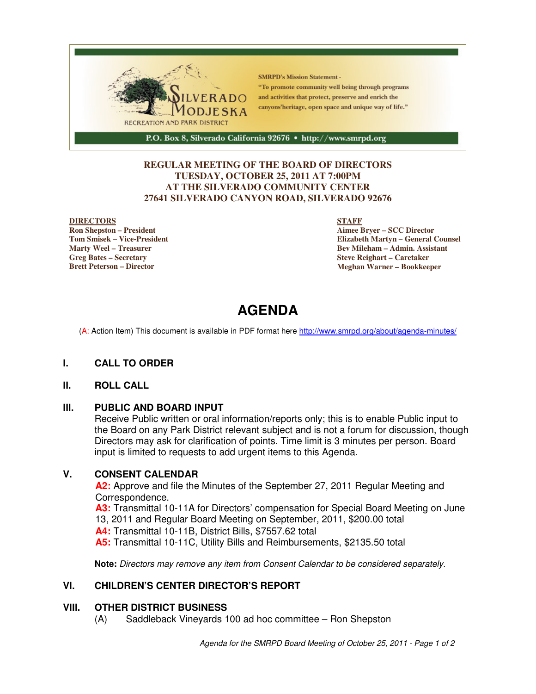

#### **REGULAR MEETING OF THE BOARD OF DIRECTORS TUESDAY, OCTOBER 25, 2011 AT 7:00PM AT THE SILVERADO COMMUNITY CENTER 27641 SILVERADO CANYON ROAD, SILVERADO 92676**

#### **DIRECTORS**

**Ron Shepston – President Tom Smisek – Vice-President Marty Weel – Treasurer Greg Bates – Secretary Brett Peterson – Director**

#### **STAFF**

**Aimee Bryer – SCC Director Elizabeth Martyn – General Counsel Bev Mileham – Admin. Assistant Steve Reighart – Caretaker Meghan Warner – Bookkeeper**

# **AGENDA**

(A: Action Item) This document is available in PDF format here http://www.smrpd.org/about/agenda-minutes/

#### **I. CALL TO ORDER**

#### **II. ROLL CALL**

#### **III. PUBLIC AND BOARD INPUT**

Receive Public written or oral information/reports only; this is to enable Public input to the Board on any Park District relevant subject and is not a forum for discussion, though Directors may ask for clarification of points. Time limit is 3 minutes per person. Board input is limited to requests to add urgent items to this Agenda.

#### **V. CONSENT CALENDAR**

**A2:** Approve and file the Minutes of the September 27, 2011 Regular Meeting and Correspondence.

**A3:** Transmittal 10-11A for Directors' compensation for Special Board Meeting on June 13, 2011 and Regular Board Meeting on September, 2011, \$200.00 total **A4:** Transmittal 10-11B, District Bills, \$7557.62 total

**A5:** Transmittal 10-11C, Utility Bills and Reimbursements, \$2135.50 total

**Note:** Directors may remove any item from Consent Calendar to be considered separately.

#### **VI. CHILDREN'S CENTER DIRECTOR'S REPORT**

#### **VIII. OTHER DISTRICT BUSINESS**

(A) Saddleback Vineyards 100 ad hoc committee – Ron Shepston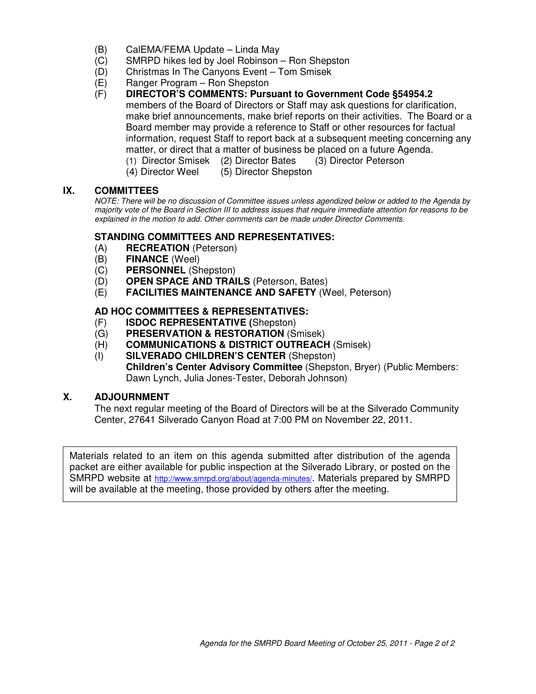- (B) CalEMA/FEMA Update Linda May
- (C) SMRPD hikes led by Joel Robinson Ron Shepston
- (D) Christmas In The Canyons Event Tom Smisek
- (E) Ranger Program Ron Shepston
- (F) **DIRECTOR'S COMMENTS: Pursuant to Government Code §54954.2** members of the Board of Directors or Staff may ask questions for clarification, make brief announcements, make brief reports on their activities. The Board or a Board member may provide a reference to Staff or other resources for factual information, request Staff to report back at a subsequent meeting concerning any matter, or direct that a matter of business be placed on a future Agenda.
	- (1) Director Smisek (2) Director Bates (3) Director Peterson
	- (4) Director Weel (5) Director Shepston

#### **IX. COMMITTEES**

NOTE: There will be no discussion of Committee issues unless agendized below or added to the Agenda by majority vote of the Board in Section III to address issues that require immediate attention for reasons to be explained in the motion to add. Other comments can be made under Director Comments.

#### **STANDING COMMITTEES AND REPRESENTATIVES:**

- (A) **RECREATION** (Peterson)
- (B) **FINANCE** (Weel)
- (C) **PERSONNEL** (Shepston)
- (D) **OPEN SPACE AND TRAILS** (Peterson, Bates)
- (E) **FACILITIES MAINTENANCE AND SAFETY** (Weel, Peterson)

#### **AD HOC COMMITTEES & REPRESENTATIVES:**

- (F) **ISDOC REPRESENTATIVE (**Shepston)
- (G) **PRESERVATION & RESTORATION** (Smisek)
- (H) **COMMUNICATIONS & DISTRICT OUTREACH** (Smisek)
- (I) **SILVERADO CHILDREN'S CENTER** (Shepston) **Children's Center Advisory Committee** (Shepston, Bryer) (Public Members: Dawn Lynch, Julia Jones-Tester, Deborah Johnson)

### **X. ADJOURNMENT**

The next regular meeting of the Board of Directors will be at the Silverado Community Center, 27641 Silverado Canyon Road at 7:00 PM on November 22, 2011.

Materials related to an item on this agenda submitted after distribution of the agenda packet are either available for public inspection at the Silverado Library, or posted on the SMRPD website at http://www.smrpd.org/about/agenda-minutes/. Materials prepared by SMRPD will be available at the meeting, those provided by others after the meeting.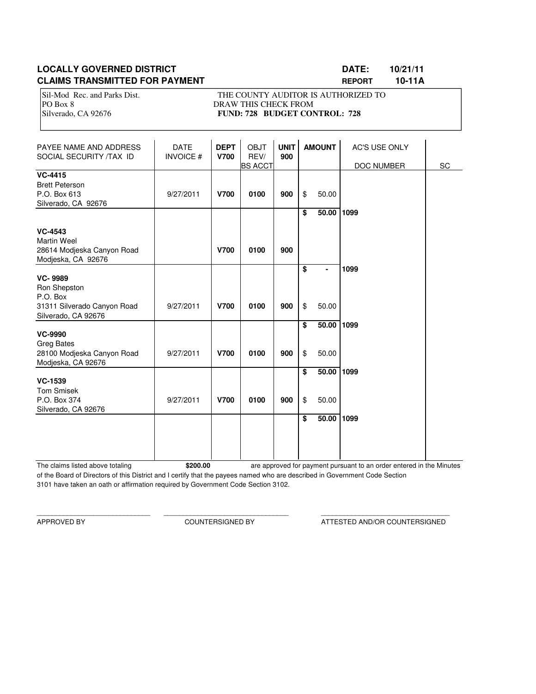### **LOCALLY GOVERNED DISTRICT LOCALLY GOVERNED DISTRICT LOCALLY CONSUMING THE LOCALLY CONSUMING A LOCAL CONSUMING CLAIMS TRANSMITTED FOR PAYMENT REPORT 10-11A**

Sil-Mod Rec. and Parks Dist. THE COUNTY AUDITOR IS AUTHORIZED TO PO Box 8 DRAW THIS CHECK FROM Silverado, CA 92676 **FUND: 728 BUDGET CONTROL: 728** 

| PAYEE NAME AND ADDRESS<br>SOCIAL SECURITY /TAX ID                                                | <b>DATE</b><br><b>INVOICE#</b> | <b>DEPT</b><br><b>V700</b> | <b>OBJT</b><br>REV/<br><b>BS ACCT</b> | <b>UNIT</b><br>900 | <b>AMOUNT</b> |                | <b>AC'S USE ONLY</b><br>DOC NUMBER | SC |  |
|--------------------------------------------------------------------------------------------------|--------------------------------|----------------------------|---------------------------------------|--------------------|---------------|----------------|------------------------------------|----|--|
| <b>VC-4415</b><br><b>Brett Peterson</b><br>P.O. Box 613<br>Silverado, CA 92676                   | 9/27/2011                      | <b>V700</b>                | 0100                                  | 900                | \$            | 50.00          |                                    |    |  |
| <b>VC-4543</b><br><b>Martin Weel</b><br>28614 Modjeska Canyon Road<br>Modjeska, CA 92676         |                                | <b>V700</b>                | 0100                                  | 900                | \$            | 50.00          | 1099                               |    |  |
| <b>VC-9989</b><br>Ron Shepston<br>P.O. Box<br>31311 Silverado Canyon Road<br>Silverado, CA 92676 | 9/27/2011                      | <b>V700</b>                | 0100                                  | 900                | \$<br>\$      | 50.00          | 1099                               |    |  |
| <b>VC-9990</b><br><b>Greg Bates</b><br>28100 Modjeska Canyon Road<br>Modjeska, CA 92676          | 9/27/2011                      | <b>V700</b>                | 0100                                  | 900                | \$<br>\$      | 50.00<br>50.00 | 1099                               |    |  |
| <b>VC-1539</b><br><b>Tom Smisek</b><br>P.O. Box 374<br>Silverado, CA 92676                       | 9/27/2011                      | <b>V700</b>                | 0100                                  | 900                | \$<br>\$      | 50.00<br>50.00 | 1099                               |    |  |
|                                                                                                  |                                |                            |                                       |                    | \$            | 50.00          | 1099                               |    |  |

The claims listed above totaling **\$200.00** of the Board of Directors of this District and I certify that the payees named who are described in Government Code Section 3101 have taken an oath or affirmation required by Government Code Section 3102. are approved for payment pursuant to an order entered in the Minutes

\_\_\_\_\_\_\_\_\_\_\_\_\_\_\_\_\_\_\_\_\_\_\_\_\_\_\_\_\_\_ \_\_\_\_\_\_\_\_\_\_\_\_\_\_\_\_\_\_\_\_\_\_\_\_\_\_\_\_\_\_\_\_\_ \_\_\_\_\_\_\_\_\_\_\_\_\_\_\_\_\_\_\_\_\_\_\_\_\_\_\_\_\_\_\_\_\_\_

APPROVED BY COUNTERSIGNED BY ATTESTED AND/OR COUNTERSIGNED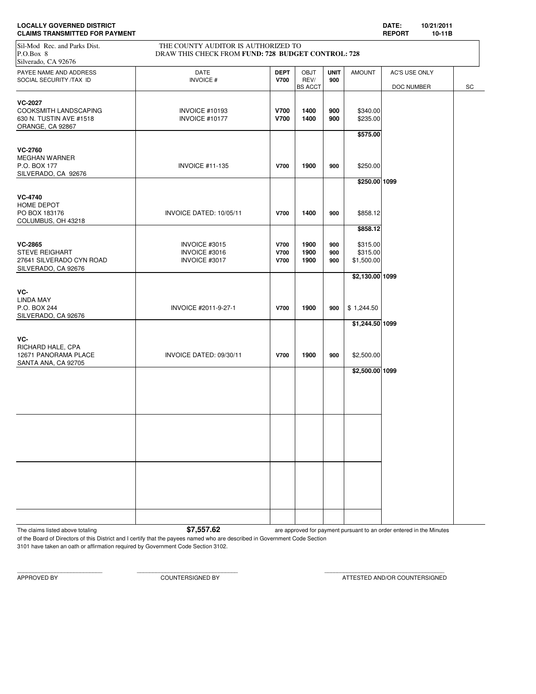| <b>LOCALLY GOVERNED DISTRICT</b><br><b>CLAIMS TRANSMITTED FOR PAYMENT</b>                                                                                     |                                                 |                                           |                                       |                    |                                                | DATE:<br><b>REPORT</b>      | 10/21/2011<br>10-11B |    |
|---------------------------------------------------------------------------------------------------------------------------------------------------------------|-------------------------------------------------|-------------------------------------------|---------------------------------------|--------------------|------------------------------------------------|-----------------------------|----------------------|----|
| THE COUNTY AUDITOR IS AUTHORIZED TO<br>Sil-Mod Rec. and Parks Dist.<br>P.O.Box 8<br>DRAW THIS CHECK FROM FUND: 728 BUDGET CONTROL: 728<br>Silverado, CA 92676 |                                                 |                                           |                                       |                    |                                                |                             |                      |    |
| PAYEE NAME AND ADDRESS<br>SOCIAL SECURITY /TAX ID                                                                                                             | <b>DATE</b><br><b>INVOICE#</b>                  | <b>DEPT</b><br><b>V700</b>                | <b>OBJT</b><br>REV/<br><b>BS ACCT</b> | <b>UNIT</b><br>900 | <b>AMOUNT</b>                                  | AC'S USE ONLY<br>DOC NUMBER |                      | SC |
| <b>VC-2027</b><br><b>COOKSMITH LANDSCAPING</b><br>630 N. TUSTIN AVE #1518<br>ORANGE, CA 92867                                                                 | <b>INVOICE #10193</b><br>INVOICE #10177         | <b>V700</b><br><b>V700</b>                | 1400<br>1400                          | 900<br>900         | \$340.00<br>\$235.00<br>\$575.00               |                             |                      |    |
| <b>VC-2760</b><br><b>MEGHAN WARNER</b><br>P.O. BOX 177<br>SILVERADO, CA 92676                                                                                 | <b>INVOICE #11-135</b>                          | <b>V700</b>                               | 1900                                  | 900                | \$250.00                                       |                             |                      |    |
| <b>VC-4740</b><br>HOME DEPOT<br>PO BOX 183176<br>COLUMBUS, OH 43218                                                                                           | INVOICE DATED: 10/05/11                         | <b>V700</b>                               | 1400                                  | 900                | \$250.00 1099<br>\$858.12                      |                             |                      |    |
| <b>VC-2865</b><br><b>STEVE REIGHART</b><br>27641 SILVERADO CYN ROAD<br>SILVERADO, CA 92676                                                                    | INVOICE #3015<br>INVOICE #3016<br>INVOICE #3017 | <b>V700</b><br><b>V700</b><br><b>V700</b> | 1900<br>1900<br>1900                  | 900<br>900<br>900  | \$858.12<br>\$315.00<br>\$315.00<br>\$1,500.00 |                             |                      |    |
| VC-<br><b>LINDA MAY</b><br>P.O. BOX 244<br>SILVERADO, CA 92676                                                                                                | INVOICE #2011-9-27-1                            | <b>V700</b>                               | 1900                                  | 900                | \$2,130.00 1099<br>\$1,244.50                  |                             |                      |    |
| VC-<br>RICHARD HALE, CPA<br>12671 PANORAMA PLACE<br>SANTA ANA, CA 92705                                                                                       | INVOICE DATED: 09/30/11                         | <b>V700</b>                               | 1900                                  | 900                | \$1,244.50 1099<br>\$2,500.00                  |                             |                      |    |
|                                                                                                                                                               |                                                 |                                           |                                       |                    | \$2,500.00 1099                                |                             |                      |    |
|                                                                                                                                                               |                                                 |                                           |                                       |                    |                                                |                             |                      |    |
|                                                                                                                                                               |                                                 |                                           |                                       |                    |                                                |                             |                      |    |
|                                                                                                                                                               |                                                 |                                           |                                       |                    |                                                |                             |                      |    |

The claims listed above totaling **1998 are approved for payment pursuant to an order entered in the Minutes** 

of the Board of Directors of this District and I certify that the payees named who are described in Government Code Section 3101 have taken an oath or affirmation required by Government Code Section 3102.

APPROVED BY COUNTERSIGNED BY ATTESTED AND/OR COUNTERSIGNED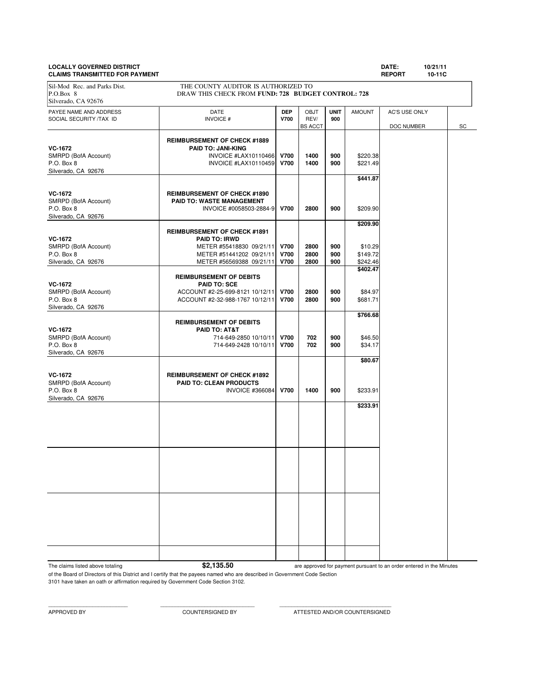#### **LOCALLY GOVERNED DISTRICT DATE: 10/21/11 CLAIMS TRANSMITTED FOR PAYMENT**

| DATE: | 10/2 |
|-------|------|
|       |      |

| <b>ULAIMU IIIARUMIIIILD I UII FATMLINI</b>                                  |                                                                                                                                                 |                                           |                                       |                    |                                                         | <u>ILEF</u> VIII<br>טורטו   |    |
|-----------------------------------------------------------------------------|-------------------------------------------------------------------------------------------------------------------------------------------------|-------------------------------------------|---------------------------------------|--------------------|---------------------------------------------------------|-----------------------------|----|
| Sil-Mod Rec. and Parks Dist.<br>P.O.Box 8<br>Silverado, CA 92676            | THE COUNTY AUDITOR IS AUTHORIZED TO<br>DRAW THIS CHECK FROM FUND: 728 BUDGET CONTROL: 728                                                       |                                           |                                       |                    |                                                         |                             |    |
| PAYEE NAME AND ADDRESS<br>SOCIAL SECURITY /TAX ID                           | DATE<br><b>INVOICE#</b>                                                                                                                         | <b>DEP</b><br>V700                        | <b>OBJT</b><br>REV/<br><b>BS ACCT</b> | <b>UNIT</b><br>900 | <b>AMOUNT</b>                                           | AC'S USE ONLY<br>DOC NUMBER | SC |
| <b>VC-1672</b><br>SMRPD (BofA Account)<br>P.O. Box 8<br>Silverado, CA 92676 | <b>REIMBURSEMENT OF CHECK #1889</b><br><b>PAID TO: JANI-KING</b><br>INVOICE #LAX10110466<br>INVOICE #LAX10110459                                | <b>V700</b><br><b>V700</b>                | 1400<br>1400                          | 900<br>900         | \$220.38<br>\$221.49<br>\$441.87                        |                             |    |
| VC-1672<br>SMRPD (BofA Account)<br>P.O. Box 8<br>Silverado, CA 92676        | <b>REIMBURSEMENT OF CHECK #1890</b><br><b>PAID TO: WASTE MANAGEMENT</b><br>INVOICE #0058503-2884-9                                              | <b>V700</b>                               | 2800                                  | 900                | \$209.90                                                |                             |    |
| <b>VC-1672</b><br>SMRPD (BofA Account)<br>P.O. Box 8<br>Silverado, CA 92676 | <b>REIMBURSEMENT OF CHECK #1891</b><br><b>PAID TO: IRWD</b><br>METER #55418830 09/21/11<br>METER #51441202 09/21/11<br>METER #56569388 09/21/11 | <b>V700</b><br><b>V700</b><br><b>V700</b> | 2800<br>2800<br>2800                  | 900<br>900<br>900  | \$209.90<br>\$10.29<br>\$149.72<br>\$242.46<br>\$402.47 |                             |    |
| <b>VC-1672</b><br>SMRPD (BofA Account)<br>P.O. Box 8<br>Silverado, CA 92676 | <b>REIMBURSEMENT OF DEBITS</b><br><b>PAID TO: SCE</b><br>ACCOUNT #2-25-699-8121 10/12/11<br>ACCOUNT #2-32-988-1767 10/12/11                     | <b>V700</b><br><b>V700</b>                | 2800<br>2800                          | 900<br>900         | \$84.97<br>\$681.71<br>\$766.68                         |                             |    |
| <b>VC-1672</b><br>SMRPD (BofA Account)<br>P.O. Box 8<br>Silverado, CA 92676 | <b>REIMBURSEMENT OF DEBITS</b><br>PAID TO: AT&T<br>714-649-2850 10/10/11<br>714-649-2428 10/10/11                                               | <b>V700</b><br><b>V700</b>                | 702<br>702                            | 900<br>900         | \$46.50<br>\$34.17                                      |                             |    |
| <b>VC-1672</b><br>SMRPD (BofA Account)<br>P.O. Box 8<br>Silverado, CA 92676 | <b>REIMBURSEMENT OF CHECK #1892</b><br><b>PAID TO: CLEAN PRODUCTS</b><br><b>INVOICE #366084</b>                                                 | <b>V700</b>                               | 1400                                  | 900                | \$80.67<br>\$233.91                                     |                             |    |
|                                                                             |                                                                                                                                                 |                                           |                                       |                    | \$233.91                                                |                             |    |
|                                                                             |                                                                                                                                                 |                                           |                                       |                    |                                                         |                             |    |
|                                                                             |                                                                                                                                                 |                                           |                                       |                    |                                                         |                             |    |
|                                                                             |                                                                                                                                                 |                                           |                                       |                    |                                                         |                             |    |

The claims listed above totaling **\$2,135.50** 

are approved for payment pursuant to an order entered in the Minutes

of the Board of Directors of this District and I certify that the payees named who are described in Government Code Section 3101 have taken an oath or affirmation required by Government Code Section 3102.

APPROVED BY COUNTERSIGNED BY ATTESTED AND/OR COUNTERSIGNED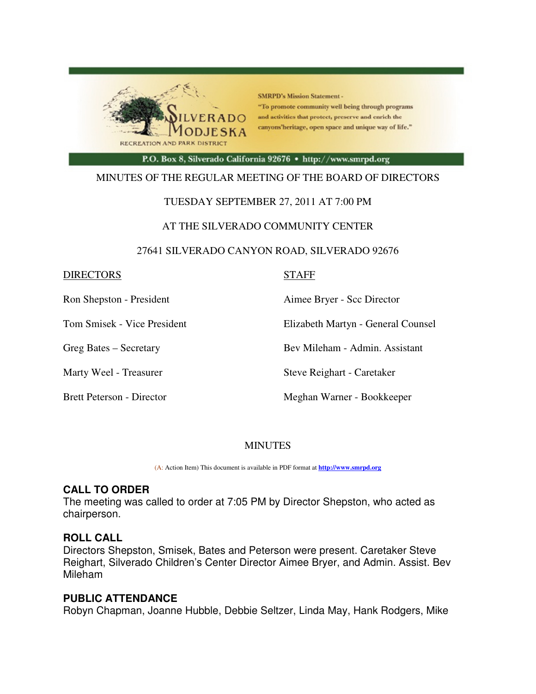

**SMRPD's Mission Statement -**"To promote community well being through programs and activities that protect, preserve and enrich the canyons'heritage, open space and unique way of life."

P.O. Box 8, Silverado California 92676 · http://www.smrpd.org

### MINUTES OF THE REGULAR MEETING OF THE BOARD OF DIRECTORS

### TUESDAY SEPTEMBER 27, 2011 AT 7:00 PM

#### AT THE SILVERADO COMMUNITY CENTER

#### 27641 SILVERADO CANYON ROAD, SILVERADO 92676

#### DIRECTORS STAFF

Ron Shepston - President **Aimee Bryer** - Scc Director

Tom Smisek - Vice President Elizabeth Martyn - General Counsel

Greg Bates – Secretary Bev Mileham - Admin. Assistant

Marty Weel - Treasurer Steve Reighart - Caretaker

Brett Peterson - Director Meghan Warner - Bookkeeper

### MINUTES

(A: Action Item) This document is available in PDF format at **http://www.smrpd.org** 

### **CALL TO ORDER**

The meeting was called to order at 7:05 PM by Director Shepston, who acted as chairperson.

### **ROLL CALL**

Directors Shepston, Smisek, Bates and Peterson were present. Caretaker Steve Reighart, Silverado Children's Center Director Aimee Bryer, and Admin. Assist. Bev Mileham

## **PUBLIC ATTENDANCE**

Robyn Chapman, Joanne Hubble, Debbie Seltzer, Linda May, Hank Rodgers, Mike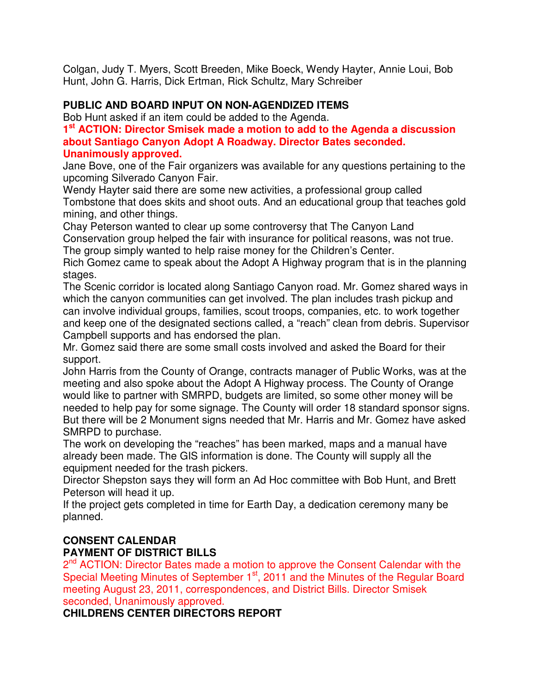Colgan, Judy T. Myers, Scott Breeden, Mike Boeck, Wendy Hayter, Annie Loui, Bob Hunt, John G. Harris, Dick Ertman, Rick Schultz, Mary Schreiber

## **PUBLIC AND BOARD INPUT ON NON-AGENDIZED ITEMS**

Bob Hunt asked if an item could be added to the Agenda.

## **1 st ACTION: Director Smisek made a motion to add to the Agenda a discussion about Santiago Canyon Adopt A Roadway. Director Bates seconded. Unanimously approved.**

Jane Bove, one of the Fair organizers was available for any questions pertaining to the upcoming Silverado Canyon Fair.

Wendy Hayter said there are some new activities, a professional group called Tombstone that does skits and shoot outs. And an educational group that teaches gold mining, and other things.

Chay Peterson wanted to clear up some controversy that The Canyon Land Conservation group helped the fair with insurance for political reasons, was not true.

The group simply wanted to help raise money for the Children's Center.

Rich Gomez came to speak about the Adopt A Highway program that is in the planning stages.

The Scenic corridor is located along Santiago Canyon road. Mr. Gomez shared ways in which the canyon communities can get involved. The plan includes trash pickup and can involve individual groups, families, scout troops, companies, etc. to work together and keep one of the designated sections called, a "reach" clean from debris. Supervisor Campbell supports and has endorsed the plan.

Mr. Gomez said there are some small costs involved and asked the Board for their support.

John Harris from the County of Orange, contracts manager of Public Works, was at the meeting and also spoke about the Adopt A Highway process. The County of Orange would like to partner with SMRPD, budgets are limited, so some other money will be needed to help pay for some signage. The County will order 18 standard sponsor signs. But there will be 2 Monument signs needed that Mr. Harris and Mr. Gomez have asked SMRPD to purchase.

The work on developing the "reaches" has been marked, maps and a manual have already been made. The GIS information is done. The County will supply all the equipment needed for the trash pickers.

Director Shepston says they will form an Ad Hoc committee with Bob Hunt, and Brett Peterson will head it up.

If the project gets completed in time for Earth Day, a dedication ceremony many be planned.

# **CONSENT CALENDAR PAYMENT OF DISTRICT BILLS**

2<sup>nd</sup> ACTION: Director Bates made a motion to approve the Consent Calendar with the Special Meeting Minutes of September 1<sup>st</sup>, 2011 and the Minutes of the Regular Board meeting August 23, 2011, correspondences, and District Bills. Director Smisek seconded, Unanimously approved.

**CHILDRENS CENTER DIRECTORS REPORT**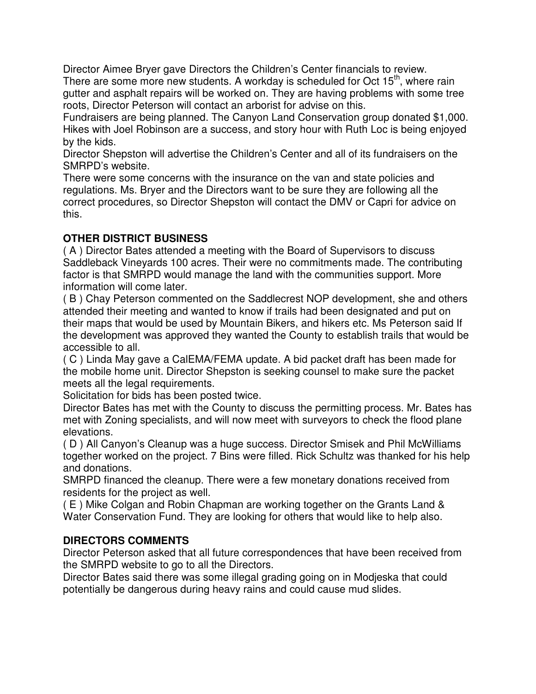Director Aimee Bryer gave Directors the Children's Center financials to review. There are some more new students. A workday is scheduled for Oct 15<sup>th</sup>, where rain gutter and asphalt repairs will be worked on. They are having problems with some tree roots, Director Peterson will contact an arborist for advise on this.

Fundraisers are being planned. The Canyon Land Conservation group donated \$1,000. Hikes with Joel Robinson are a success, and story hour with Ruth Loc is being enjoyed by the kids.

Director Shepston will advertise the Children's Center and all of its fundraisers on the SMRPD's website.

There were some concerns with the insurance on the van and state policies and regulations. Ms. Bryer and the Directors want to be sure they are following all the correct procedures, so Director Shepston will contact the DMV or Capri for advice on this.

# **OTHER DISTRICT BUSINESS**

( A ) Director Bates attended a meeting with the Board of Supervisors to discuss Saddleback Vineyards 100 acres. Their were no commitments made. The contributing factor is that SMRPD would manage the land with the communities support. More information will come later.

( B ) Chay Peterson commented on the Saddlecrest NOP development, she and others attended their meeting and wanted to know if trails had been designated and put on their maps that would be used by Mountain Bikers, and hikers etc. Ms Peterson said If the development was approved they wanted the County to establish trails that would be accessible to all.

( C ) Linda May gave a CalEMA/FEMA update. A bid packet draft has been made for the mobile home unit. Director Shepston is seeking counsel to make sure the packet meets all the legal requirements.

Solicitation for bids has been posted twice.

Director Bates has met with the County to discuss the permitting process. Mr. Bates has met with Zoning specialists, and will now meet with surveyors to check the flood plane elevations.

( D ) All Canyon's Cleanup was a huge success. Director Smisek and Phil McWilliams together worked on the project. 7 Bins were filled. Rick Schultz was thanked for his help and donations.

SMRPD financed the cleanup. There were a few monetary donations received from residents for the project as well.

( E ) Mike Colgan and Robin Chapman are working together on the Grants Land & Water Conservation Fund. They are looking for others that would like to help also.

# **DIRECTORS COMMENTS**

Director Peterson asked that all future correspondences that have been received from the SMRPD website to go to all the Directors.

Director Bates said there was some illegal grading going on in Modjeska that could potentially be dangerous during heavy rains and could cause mud slides.